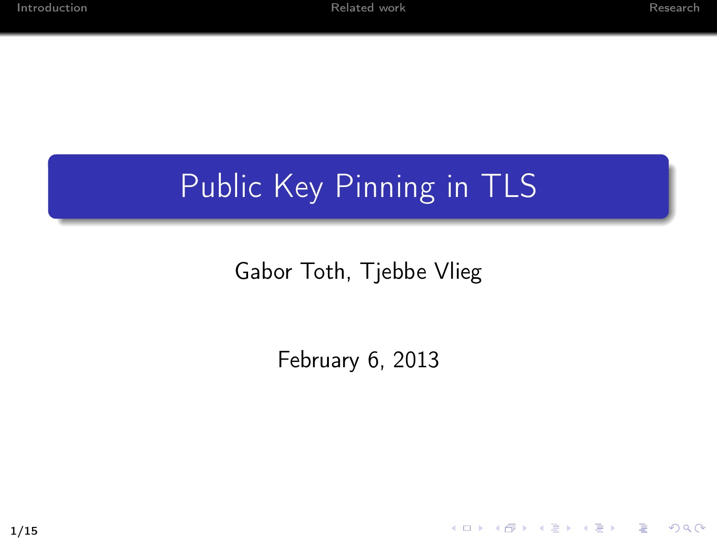K ロ ▶ K @ ▶ K 할 ▶ K 할 ▶ → 할 → 9 Q @

#### Public Key Pinning in TLS

#### Gabor Toth, Tjebbe Vlieg

February 6, 2013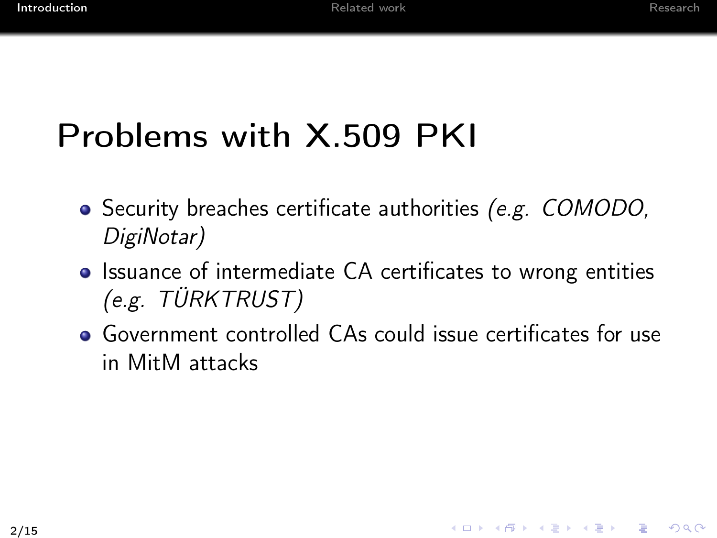# Problems with X.509 PKI

- Security breaches certificate authorities (e.g. COMODO, DigiNotar)
- Issuance of intermediate CA certificates to wrong entities (e.g. TÜRKTRUST)
- <span id="page-1-0"></span>Government controlled CAs could issue certificates for use in MitM attacks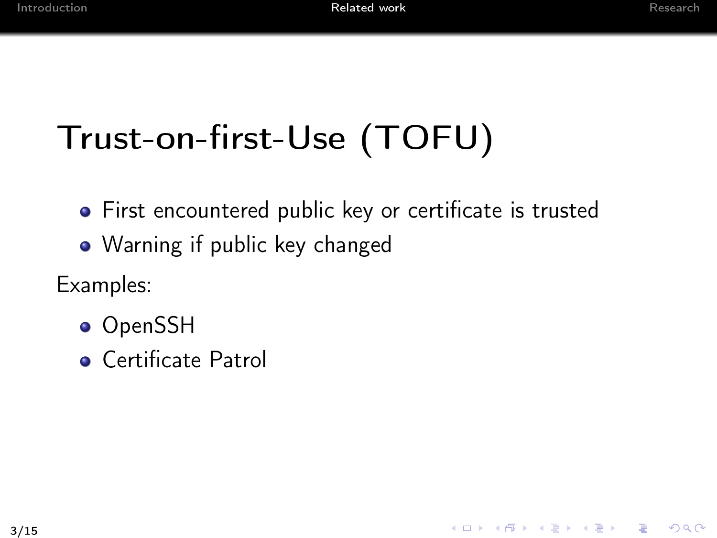<span id="page-2-0"></span>K ロ ▶ K 레 ▶ K 코 ▶ K 코 ▶ 『코』 YO Q @

# Trust-on-first-Use (TOFU)

- First encountered public key or certificate is trusted
- Warning if public key changed
- Examples:
	- OpenSSH
	- **Certificate Patrol**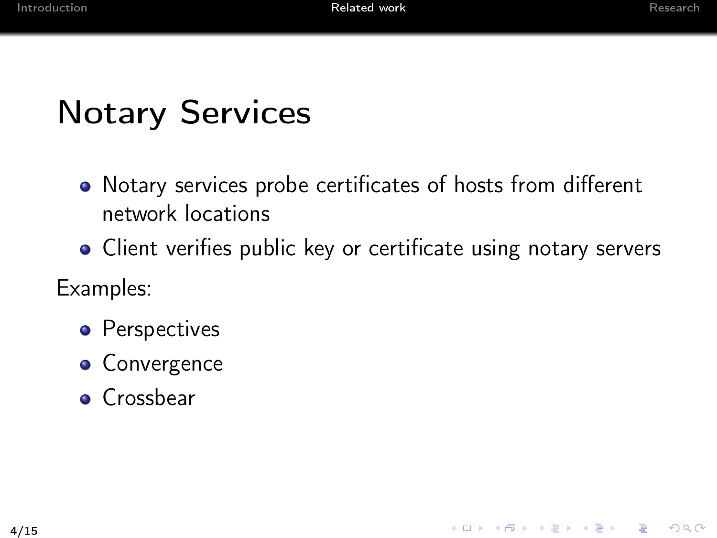# Notary Services

- Notary services probe certificates of hosts from different network locations
- Client verifies public key or certificate using notary servers
- Examples:
	- Perspectives
	- **•** Convergence
	- **o** Crossbear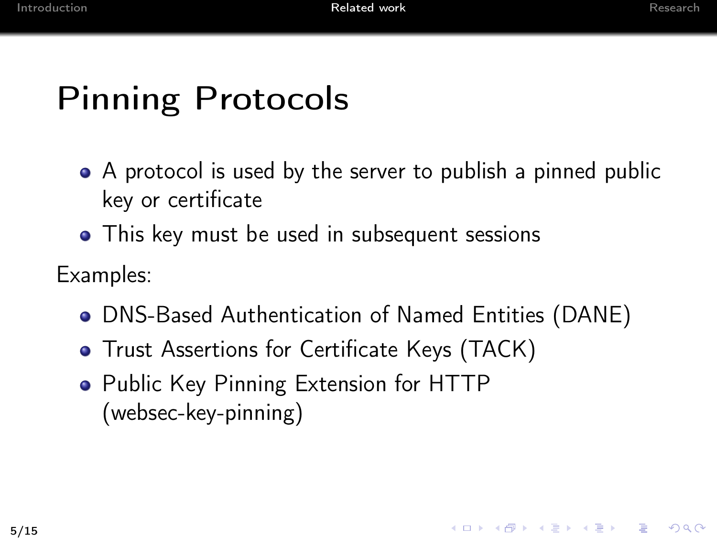KID KADIK KEIK EI ONG

#### Pinning Protocols

- A protocol is used by the server to publish a pinned public key or certificate
- This key must be used in subsequent sessions

Examples:

- DNS-Based Authentication of Named Entities (DANE)
- **•** Trust Assertions for Certificate Keys (TACK)
- Public Key Pinning Extension for HTTP (websec-key-pinning)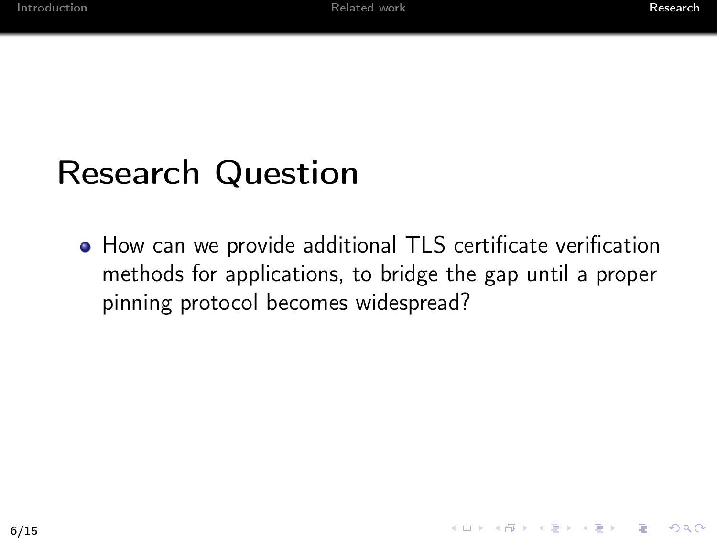#### Research Question

<span id="page-5-0"></span>How can we provide additional TLS certificate verification methods for applications, to bridge the gap until a proper pinning protocol becomes widespread?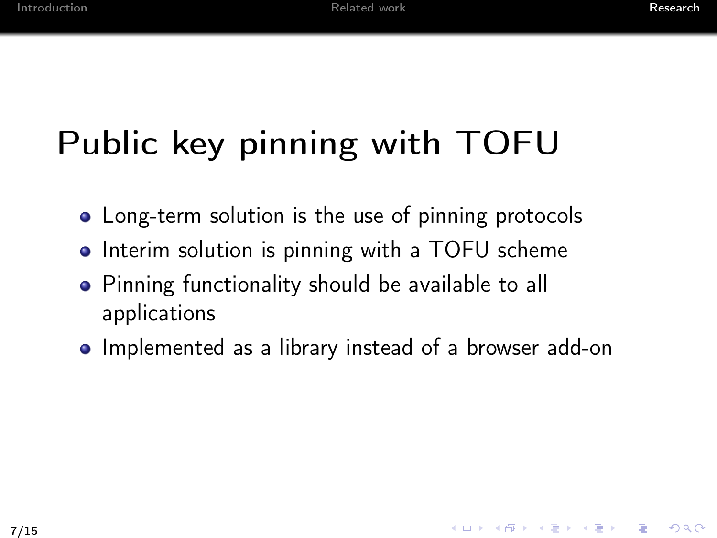# Public key pinning with TOFU

- Long-term solution is the use of pinning protocols
- Interim solution is pinning with a TOFU scheme
- Pinning functionality should be available to all applications
- Implemented as a library instead of a browser add-on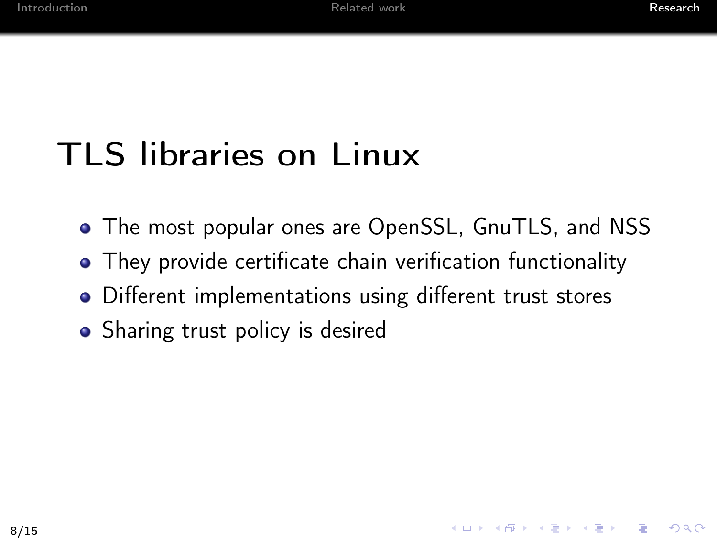KID KADIK KEIK EI ONG

# TLS libraries on Linux

- The most popular ones are OpenSSL, GnuTLS, and NSS
- They provide certificate chain verification functionality
- Different implementations using different trust stores
- Sharing trust policy is desired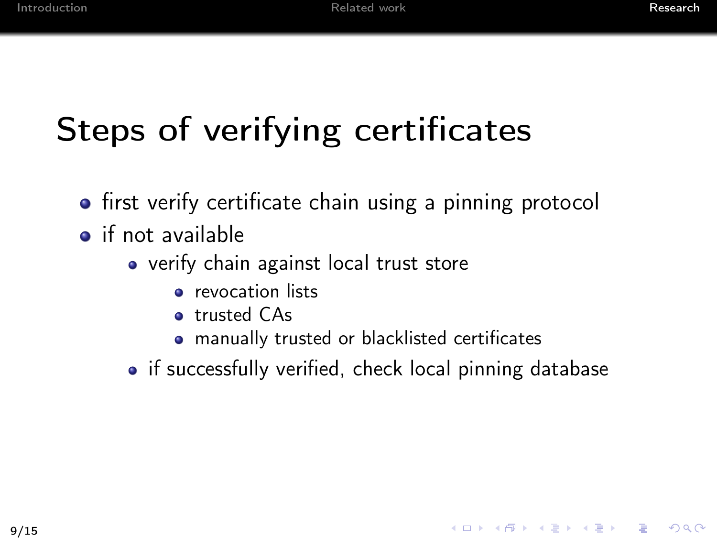# Steps of verifying certificates

- **•** first verify certificate chain using a pinning protocol
- $\bullet$  if not available
	- verify chain against local trust store
		- **•** revocation lists
		- **o** trusted CAs
		- manually trusted or blacklisted certificates
	- if successfully verified, check local pinning database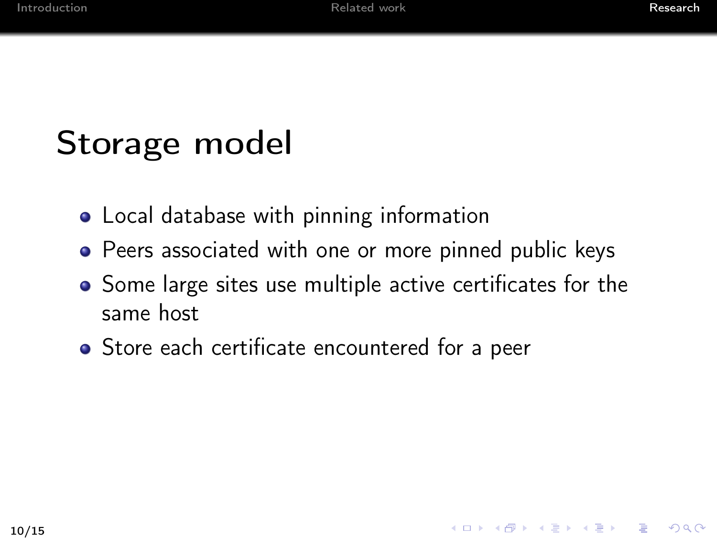## Storage model

- Local database with pinning information
- Peers associated with one or more pinned public keys
- Some large sites use multiple active certificates for the same host
- Store each certificate encountered for a peer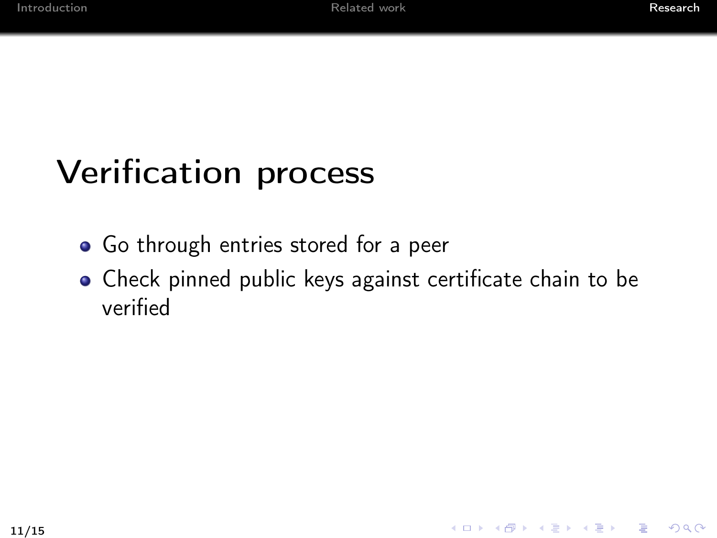### Verification process

- **•** Go through entries stored for a peer
- Check pinned public keys against certificate chain to be verified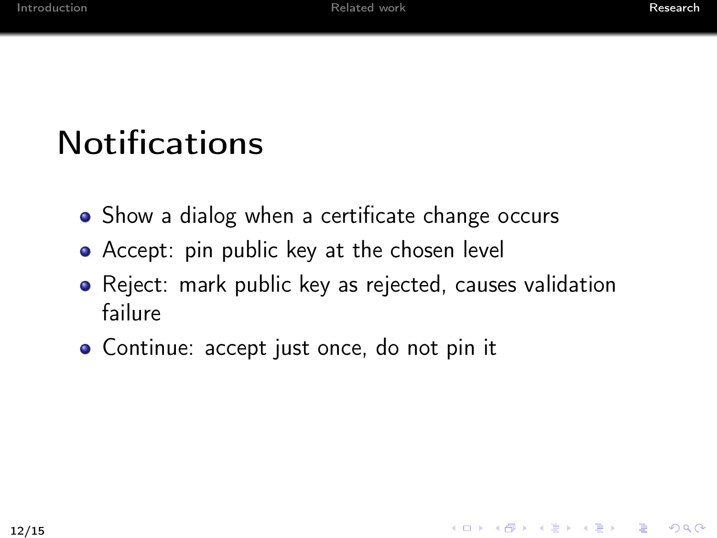K □ ▶ K @ ▶ K 할 X K 할 X - 할 X - 9 Q Q ^

# **Notifications**

- Show a dialog when a certificate change occurs
- Accept: pin public key at the chosen level
- Reject: mark public key as rejected, causes validation failure
- Continue: accept just once, do not pin it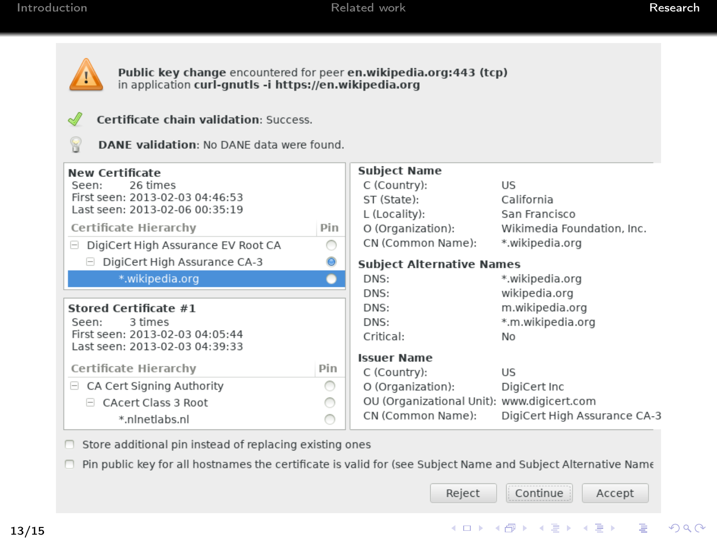

Public key change encountered for peer en.wikipedia.org:443 (tcp) in application curl-gnutls -i https://en.wikipedia.org



Certificate chain validation: Success.



DANE validation: No DANE data were found.

| <b>New Certificate</b>                                            |     | <b>Subject Name</b>                        |                              |
|-------------------------------------------------------------------|-----|--------------------------------------------|------------------------------|
| 26 times<br>Seen:                                                 |     | C (Country):                               | US.                          |
| First seen: 2013-02-03 04:46:53                                   |     | ST (State):                                | California                   |
| Last seen: 2013-02-06 00:35:19                                    |     | L (Locality):                              | San Francisco                |
| Certificate Hierarchy                                             | Pin | O (Organization):                          | Wikimedia Foundation, Inc.   |
| □ DigiCert High Assurance EV Root CA                              |     | CN (Common Name):                          | *.wikipedia.org              |
| □ DigiCert High Assurance CA-3                                    |     | <b>Subject Alternative Names</b>           |                              |
| *.wikipedia.org                                                   |     | DNS:                                       | *.wikipedia.org              |
|                                                                   |     | DNS:                                       | wikipedia.org                |
| Stored Certificate #1                                             |     | DNS:                                       | m.wikipedia.org              |
| 3 times<br>Seen:                                                  |     | DNS:                                       | *.m.wikipedia.org            |
| First seen: 2013-02-03 04:05:44<br>Last seen: 2013-02-03 04:39:33 |     | Critical:                                  | N <sub>o</sub>               |
|                                                                   |     | <b>Issuer Name</b>                         |                              |
| Certificate Hierarchy                                             | Pin | C (Country):                               | US.                          |
| $\Box$ CA Cert Signing Authority                                  |     | O (Organization):                          | DigiCert Inc                 |
| CAcert Class 3 Root                                               |     | OU (Organizational Unit): www.digicert.com |                              |
| *.nlnetlabs.nl                                                    |     | CN (Common Name):                          | DigiCert High Assurance CA-3 |

 $\Box$  Store additional pin instead of replacing existing ones

□ Pin public key for all hostnames the certificate is valid for (see Subject Name and Subject Alternative Name

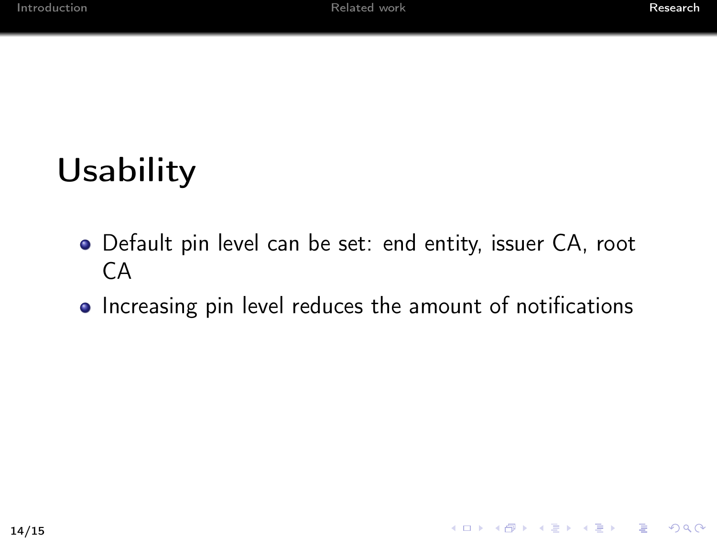### Usability

- Default pin level can be set: end entity, issuer CA, root CA
- Increasing pin level reduces the amount of notifications